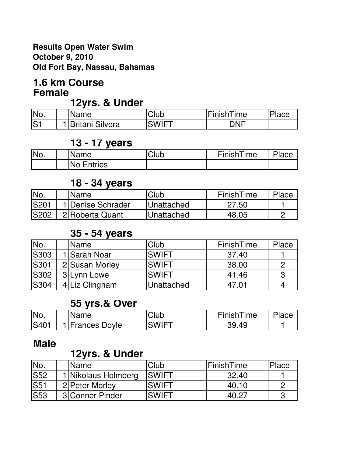#### **Results Open Water Swim October 9, 2010 Old Fort Bay, Nassau, Bahamas**

### **1.6 km Course Female**

#### **12yrs. & Under**

| INo.            | Name                   | Club  | FinishTime | iacu |
|-----------------|------------------------|-------|------------|------|
| IS <sup>-</sup> | <b>Britani Silvera</b> | SWIFT | DNF        |      |

#### **13 - 17 years**

| INo. | Name       | Club | FinishTime | Place |
|------|------------|------|------------|-------|
|      | No Entries |      |            |       |

#### **18 - 34 years**

| INo.         | <b>Name</b>       | Club       | FinishTime | Place |
|--------------|-------------------|------------|------------|-------|
| <b>IS201</b> | 1 Denise Schrader | Unattached | 27.50      |       |
| <b>IS202</b> | 2 Roberta Quant   | Unattached | 48.05      |       |

#### **35 - 54 years**

| No.         | Name           | Club              | FinishTime | Place |
|-------------|----------------|-------------------|------------|-------|
| S303        | 1 Sarah Noar   | <b>SWIFT</b>      | 37.40      |       |
| <b>S301</b> | 2 Susan Morley | <b>ISWIFT</b>     | 38.00      |       |
| S302        | 3Lynn Lowe     | ISWIFT            | 41.46      |       |
| S304        | 4 Liz Clingham | <b>Unattached</b> | 47.01      |       |

### **55 yrs.& Over**

| No.          | Name           | Club         | FinishTime |  |
|--------------|----------------|--------------|------------|--|
| <b>IS401</b> | 'Frances Doyle | <b>SWIFT</b> | .49        |  |

#### **Male**

## **12yrs. & Under**

| No.         | Name                | Club         | <b>IFinishTime</b> | Place |
|-------------|---------------------|--------------|--------------------|-------|
| <b>S52</b>  | 1 Nikolaus Holmberg | <b>SWIFT</b> | 32.40              |       |
| <b>S51</b>  | 2 Peter Morley      | <b>SWIFT</b> | 40.10              |       |
| <b>IS53</b> | 3 Conner Pinder     | <b>SWIFT</b> | 40.27              |       |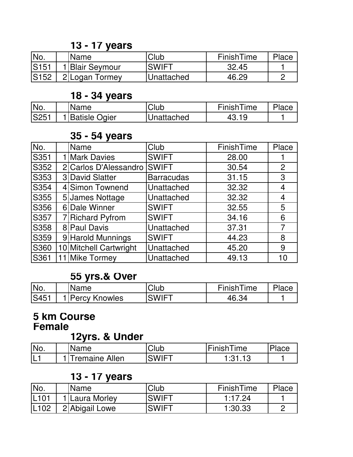## **13 - 17 years**

| INo.         | Name            | Club         | FinishTime | Place |
|--------------|-----------------|--------------|------------|-------|
| <b>IS151</b> | 1 Blair Seymour | <b>SWIFT</b> | 32.45      |       |
| <b>S152</b>  | 2 Logan Tormey  | Unattached   | 46.29      |       |

### **18 - 34 years**

| INo.        | Name                 | <b>Club</b> | FinishTime |  |
|-------------|----------------------|-------------|------------|--|
| <b>S251</b> | <b>Batisle Ogier</b> | Jnattached  |            |  |

## **35 - 54 years**

| No.  | Name                   | Club              | FinishTime | Place          |
|------|------------------------|-------------------|------------|----------------|
| S351 | 1 Mark Davies          | <b>SWIFT</b>      | 28.00      |                |
| S352 | 2 Carlos D'Alessandro  | <b>SWIFT</b>      | 30.54      | $\overline{2}$ |
| S353 | 3 David Slatter        | <b>Barracudas</b> | 31.15      | 3              |
| S354 | 4 Simon Townend        | Unattached        | 32.32      | 4              |
| S355 | 5 James Nottage        | Unattached        | 32.32      | 4              |
| S356 | 6Dale Winner           | <b>SWIFT</b>      | 32.55      | 5              |
| S357 | 7 Richard Pyfrom       | <b>SWIFT</b>      | 34.16      | 6              |
| S358 | 8 Paul Davis           | Unattached        | 37.31      | $\overline{7}$ |
| S359 | 9 Harold Munnings      | <b>SWIFT</b>      | 44.23      | 8              |
| S360 | 10 Mitchell Cartwright | Unattached        | 45.20      | 9              |
| S361 | <b>Mike Tormey</b>     | Unattached        | 49.13      | 10             |

# **55 yrs.& Over**

| No.         | Name                  | Club              | FinishT<br>$T$ ime |  |
|-------------|-----------------------|-------------------|--------------------|--|
| <b>S451</b> | <b>IPercy Knowles</b> | SWIF <sup>7</sup> |                    |  |

#### **5 km Course Female**

### **12yrs. & Under**

| No. | Name           | Club         | FinishTime | Place |
|-----|----------------|--------------|------------|-------|
| – − | Tremaine Allen | <b>SWIFT</b> | וי ?∙י     |       |

# **13 - 17 years**

| No.              | Name             | Club         | FinishTime | Place |
|------------------|------------------|--------------|------------|-------|
| L <sub>101</sub> | 1   Laura Morley | <b>SWIFT</b> | 1:17.24    |       |
| L <sub>102</sub> | 2 Abigail Lowe   | <b>SWIFT</b> | 1:30.33    |       |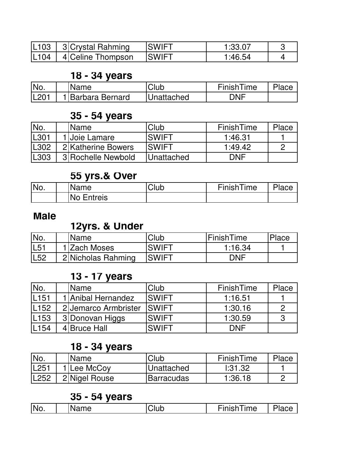| IL <sub>103</sub> | 3 Crystal Rahming | SWIF <sup>-</sup> | :33.0]  |  |
|-------------------|-------------------|-------------------|---------|--|
| IL104             | 4 Celine Thompson | SWIFT             | 1 46 54 |  |

## **18 - 34 years**

| IN <sub>o</sub> . | Name              | Club       | FinishTime |  |
|-------------------|-------------------|------------|------------|--|
| IL201             | 1 Barbara Bernard | Unattached | <b>DNF</b> |  |

### **35 - 54 years**

| 'No.             | <b>Name</b>               | Club               | FinishTime | Place |
|------------------|---------------------------|--------------------|------------|-------|
| L301             | 1 Joie Lamare             | <b>SWIFT</b>       | 1:46.31    |       |
| L <sub>302</sub> | 2 Katherine Bowers        | <b>SWIFT</b>       | 1:49.42    |       |
| L <sub>303</sub> | <b>3</b> Rochelle Newbold | <b>IUnattached</b> | <b>DNF</b> |       |

## **55 yrs.& Over**

| No. | Name         | Club | $T$ ime<br>Finish | $\mathbf{D}$<br>ιαυτ |
|-----|--------------|------|-------------------|----------------------|
|     | ntreis<br>NΟ |      |                   |                      |

## **Male**

## **12yrs. & Under**

| 'No.            | Name               | Club          | l FinishTime | 'Place |
|-----------------|--------------------|---------------|--------------|--------|
| L5 <sup>1</sup> | 1 Zach Moses       | <b>SWIFT</b>  | 1:16.34      |        |
| L52             | 2 Nicholas Rahming | <b>ISWIFT</b> | <b>DNF</b>   |        |

## **13 - 17 years**

| No.              | <b>Name</b>          | Club          | FinishTime | Place |
|------------------|----------------------|---------------|------------|-------|
| L <sub>151</sub> | 1 Anibal Hernandez   | <b>SWIFT</b>  | 1:16.51    |       |
| L <sub>152</sub> | 2 Jemarco Armbrister | <b>ISWIFT</b> | 1:30.16    |       |
| L <sub>153</sub> | 3 Donovan Higgs      | <b>ISWIFT</b> | 1:30.59    | -3    |
| L154             | 4 Bruce Hall         | <b>SWIFT</b>  | <b>DNF</b> |       |

### **18 - 34 years**

| IN <sub>o</sub>  | Name          | <b>Club</b>       | FinishTime | Place |
|------------------|---------------|-------------------|------------|-------|
| L251             | 1 Lee McCoy   | Unattached        | 1:31.32    |       |
| L <sub>252</sub> | 2 Nigel Rouse | <b>Barracudas</b> | 1:36.18    |       |

### **35 - 54 years**

| IN <sub>o</sub><br>$\sim$<br>ime<br>$\sim$<br>- i k<br>.<br>iul |
|-----------------------------------------------------------------|
|-----------------------------------------------------------------|